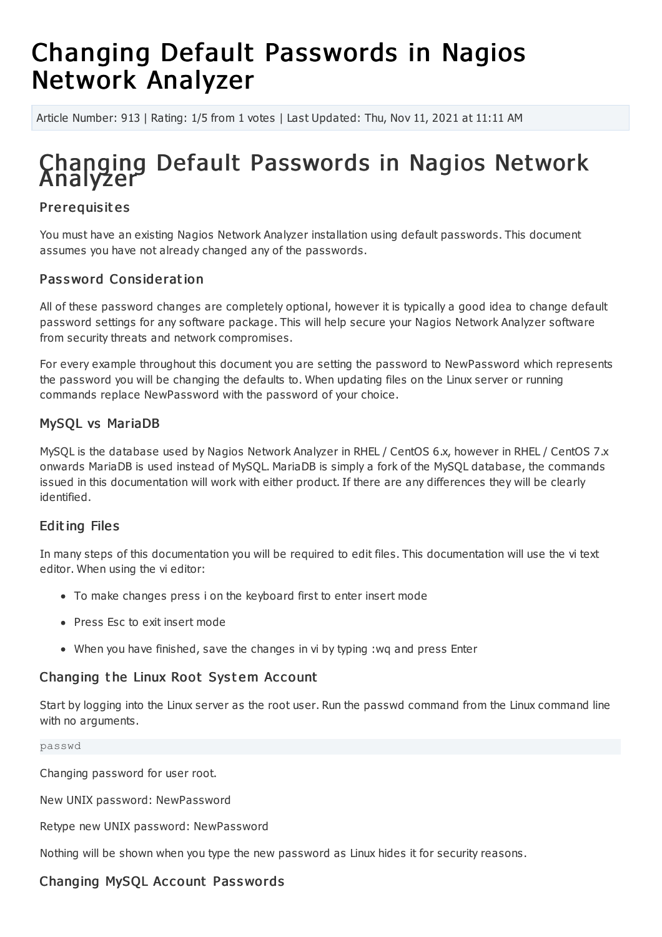# Changing Default Passwords in Nagios Network Analyzer

Article Number: 913 | Rating: 1/5 from 1 votes | Last Updated: Thu, Nov 11, 2021 at 11:11 AM

## Changing Default Passwords in Nagios Network Analyzer

## **Pre requisites**

You must have an existing Nagios Network Analyzer installation using default passwords. This document assumes you have not already changed any of the passwords.

## Password Consideration

All of these password changes are completely optional, however it is typically a good idea to change default password settings for any software package. This will help secure your Nagios Network Analyzer software from security threats and network compromises.

For every example throughout this document you are setting the password to NewPassword which represents the password you will be changing the defaults to. When updating files on the Linux server or running commands replace NewPassword with the password of your choice.

## MySQL vs MariaDB

MySQL is the database used by Nagios Network Analyzer in RHEL / CentOS 6.x, however in RHEL / CentOS 7.x onwards MariaDB is used instead of MySQL. MariaDB is simply a fork of the MySQL database, the commands issued in this documentation will work with either product. If there are any differences they will be clearly identified.

## **Editing Files**

In many steps of this documentation you will be required to edit files. This documentation will use the vi text editor. When using the vi editor:

- To make changes press i on the keyboard first to enter insert mode
- Press Esc to exit insert mode
- When you have finished, save the changes in vi by typing :wq and press Enter

## Changing the Linux Root System Account

Start by logging into the Linux server as the root user. Run the passwd command from the Linux command line with no arguments.

#### passwd

Changing password for user root.

New UNIX password: NewPassword

Retype new UNIX password: NewPassword

Nothing will be shown when you type the new password as Linux hides it for security reasons.

## Changing MySQL Account Passwords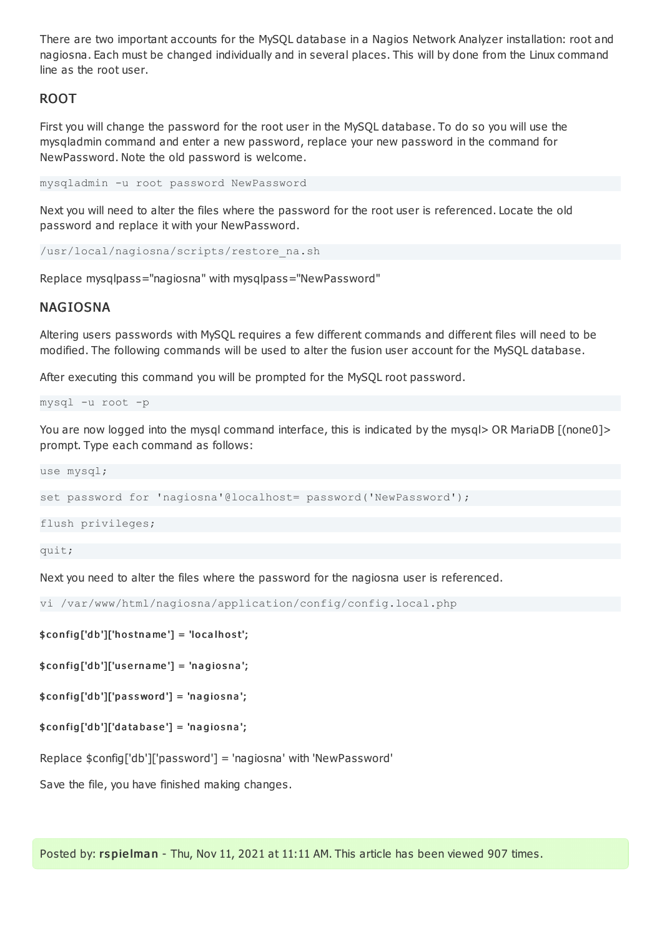There are two important accounts for the MySQL database in a Nagios Network Analyzer installation: root and nagiosna. Each must be changed individually and in several places. This will by done from the Linux command line as the root user.

## ROOT

First you will change the password for the root user in the MySQL database. To do so you will use the mysqladmin command and enter a new password, replace your new password in the command for NewPassword. Note the old password is welcome.

mysqladmin -u root password NewPassword

Next you will need to alter the files where the password for the root user is referenced. Locate the old password and replace it with your NewPassword.

/usr/local/nagiosna/scripts/restore\_na.sh

Replace mysqlpass="nagiosna" with mysqlpass="NewPassword"

#### NAGIOSNA

Altering users passwords with MySQL requires a few different commands and different files will need to be modified. The following commands will be used to alter the fusion user account for the MySQL database.

After executing this command you will be prompted for the MySQL root password.

mysql -u root -p

You are now logged into the mysql command interface, this is indicated by the mysql> OR MariaDB [(none0]> prompt. Type each command as follows:

use mysql;

set password for 'nagiosna'@localhost= password('NewPassword');

flush privileges;

quit;

Next you need to alter the files where the password for the nagiosna user is referenced.

vi /var/www/html/nagiosna/application/config/config.local.php

#### $$config['db']['hostname'] = 'localhost';$

 $$config['db']['usemame'] = 'nagiosna';$ 

 $$config['db']['password'] = 'nagiosna';$ 

#### $$config['db']['database'] = 'nagiosna';$

Replace \$config['db']['password'] = 'nagiosna' with 'NewPassword'

Save the file, you have finished making changes.

Posted by: rspielman - Thu, Nov 11, 2021 at 11:11 AM. This article has been viewed 907 times.